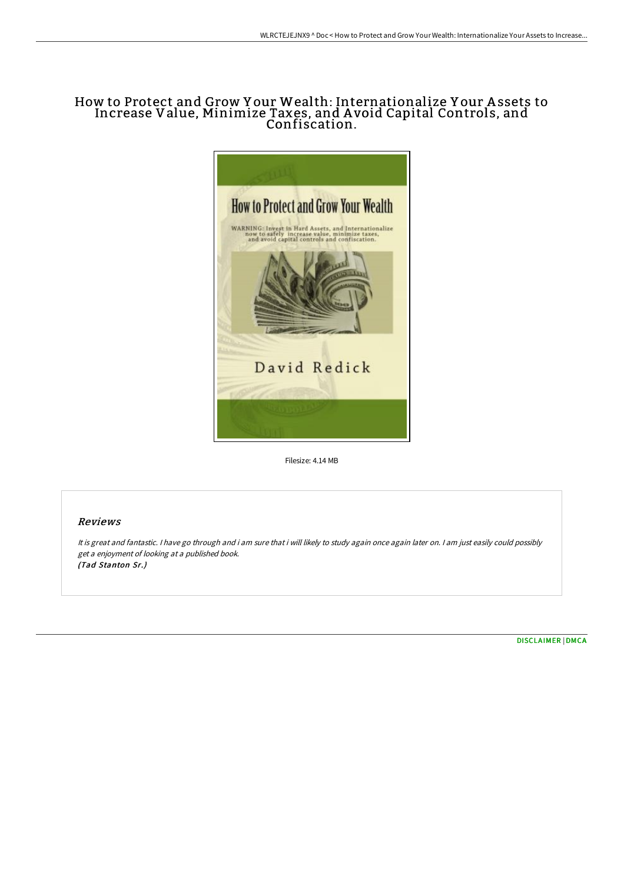## How to Protect and Grow Y our Wealth: Internationalize Y our A ssets to Increase Value, Minimize Taxes, and A void Capital Controls, and Confiscation.



Filesize: 4.14 MB

## Reviews

It is great and fantastic. <sup>I</sup> have go through and i am sure that i will likely to study again once again later on. <sup>I</sup> am just easily could possibly get <sup>a</sup> enjoyment of looking at <sup>a</sup> published book. (Tad Stanton Sr.)

[DISCLAIMER](http://albedo.media/disclaimer.html) | [DMCA](http://albedo.media/dmca.html)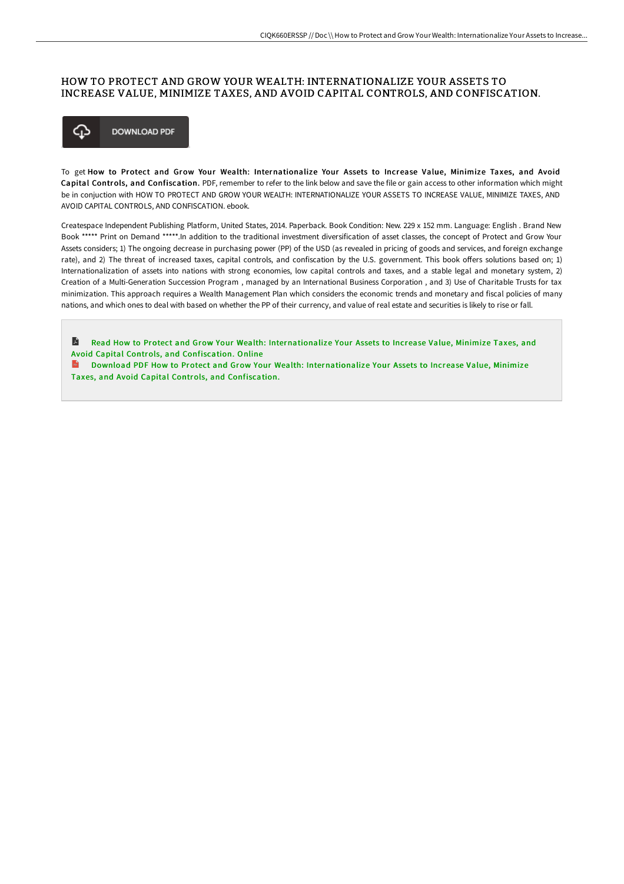## HOW TO PROTECT AND GROW YOUR WEALTH: INTERNATIONALIZE YOUR ASSETS TO INCREASE VALUE, MINIMIZE TAXES, AND AVOID CAPITAL CONTROLS, AND CONFISCATION.



To get How to Protect and Grow Your Wealth: Internationalize Your Assets to Increase Value, Minimize Taxes, and Avoid Capital Controls, and Confiscation. PDF, remember to refer to the link below and save the file or gain access to other information which might be in conjuction with HOW TO PROTECT AND GROW YOUR WEALTH: INTERNATIONALIZE YOUR ASSETS TO INCREASE VALUE, MINIMIZE TAXES, AND AVOID CAPITAL CONTROLS, AND CONFISCATION. ebook.

Createspace Independent Publishing Platform, United States, 2014. Paperback. Book Condition: New. 229 x 152 mm. Language: English . Brand New Book \*\*\*\*\* Print on Demand \*\*\*\*\*.In addition to the traditional investment diversification of asset classes, the concept of Protect and Grow Your Assets considers; 1) The ongoing decrease in purchasing power (PP) of the USD (as revealed in pricing of goods and services, and foreign exchange rate), and 2) The threat of increased taxes, capital controls, and confiscation by the U.S. government. This book offers solutions based on; 1) Internationalization of assets into nations with strong economies, low capital controls and taxes, and a stable legal and monetary system, 2) Creation of a Multi-Generation Succession Program , managed by an International Business Corporation , and 3) Use of Charitable Trusts for tax minimization. This approach requires a Wealth Management Plan which considers the economic trends and monetary and fiscal policies of many nations, and which ones to deal with based on whether the PP of their currency, and value of real estate and securities is likely to rise or fall.

R Read How to Protect and Grow Your Wealth: [Internationalize](http://albedo.media/how-to-protect-and-grow-your-wealth-internationa.html) Your Assets to Increase Value, Minimize Taxes, and Avoid Capital Controls, and Confiscation. Online

Download PDF How to Protect and Grow Your Wealth: [Internationalize](http://albedo.media/how-to-protect-and-grow-your-wealth-internationa.html) Your Assets to Increase Value, Minimize Taxes, and Avoid Capital Controls, and Confiscation.